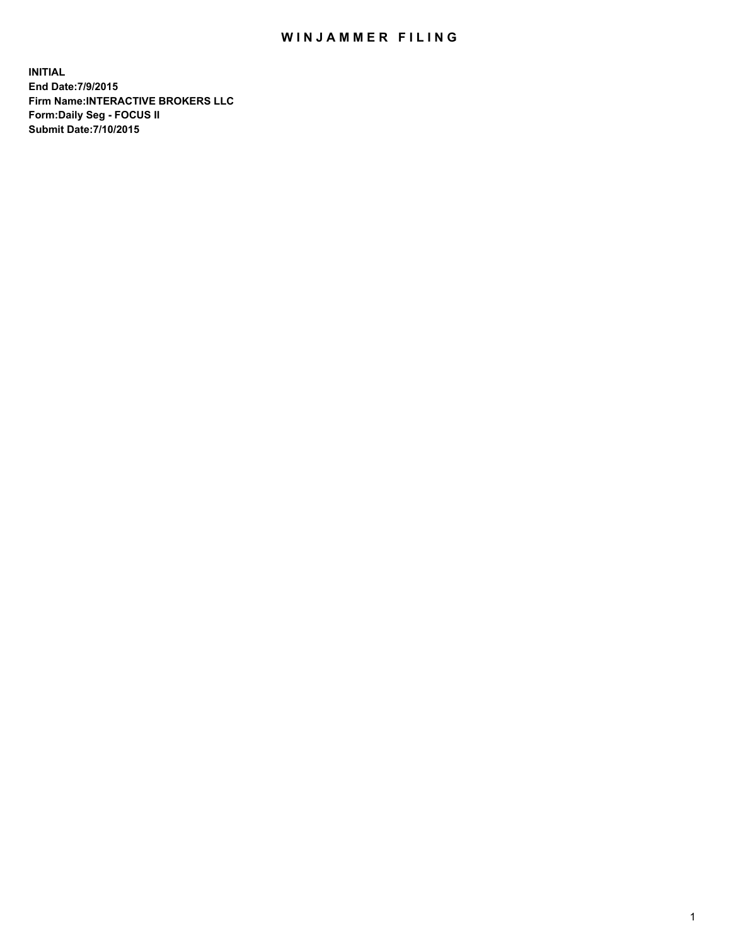## WIN JAMMER FILING

**INITIAL End Date:7/9/2015 Firm Name:INTERACTIVE BROKERS LLC Form:Daily Seg - FOCUS II Submit Date:7/10/2015**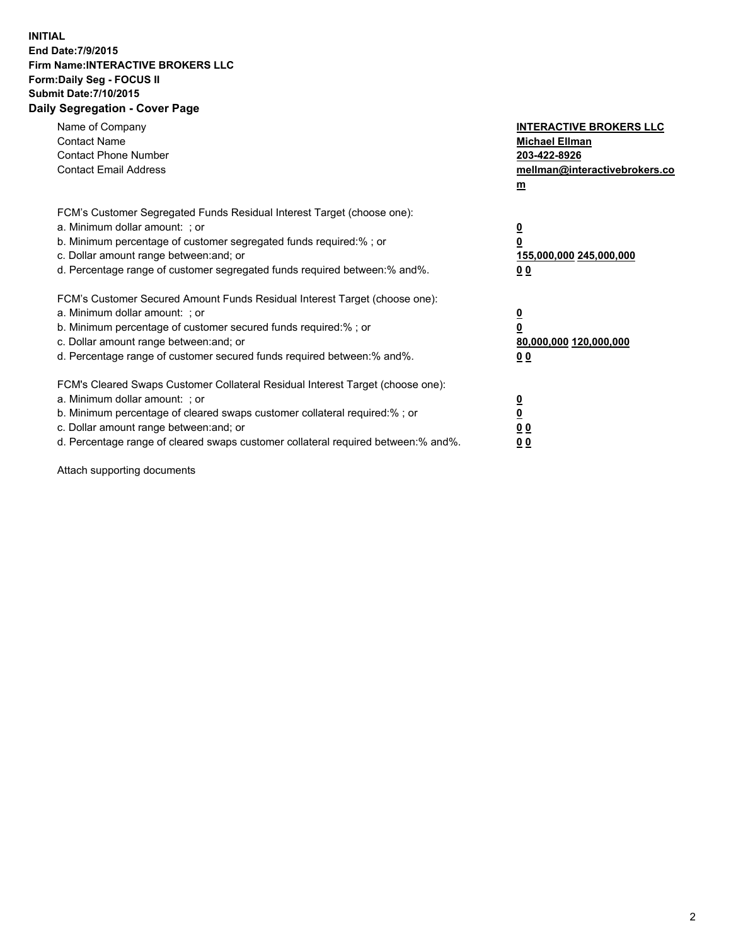## **INITIAL End Date:7/9/2015 Firm Name:INTERACTIVE BROKERS LLC Form:Daily Seg - FOCUS II Submit Date:7/10/2015 Daily Segregation - Cover Page**

| Name of Company<br><b>Contact Name</b><br><b>Contact Phone Number</b><br><b>Contact Email Address</b>                                                                                                                                                                                                                          | <b>INTERACTIVE BROKERS LLC</b><br><b>Michael Ellman</b><br>203-422-8926<br>mellman@interactivebrokers.co<br>$\mathbf{m}$ |
|--------------------------------------------------------------------------------------------------------------------------------------------------------------------------------------------------------------------------------------------------------------------------------------------------------------------------------|--------------------------------------------------------------------------------------------------------------------------|
| FCM's Customer Segregated Funds Residual Interest Target (choose one):<br>a. Minimum dollar amount: ; or<br>b. Minimum percentage of customer segregated funds required:% ; or<br>c. Dollar amount range between: and; or<br>d. Percentage range of customer segregated funds required between:% and%.                         | $\overline{\mathbf{0}}$<br>0<br>155,000,000 245,000,000<br>00                                                            |
| FCM's Customer Secured Amount Funds Residual Interest Target (choose one):<br>a. Minimum dollar amount: ; or<br>b. Minimum percentage of customer secured funds required:% ; or<br>c. Dollar amount range between: and; or<br>d. Percentage range of customer secured funds required between: % and %.                         | $\overline{\mathbf{0}}$<br>0<br>80,000,000 120,000,000<br>00                                                             |
| FCM's Cleared Swaps Customer Collateral Residual Interest Target (choose one):<br>a. Minimum dollar amount: ; or<br>b. Minimum percentage of cleared swaps customer collateral required:% ; or<br>c. Dollar amount range between: and; or<br>d. Percentage range of cleared swaps customer collateral required between:% and%. | $\overline{\mathbf{0}}$<br>$\overline{\mathbf{0}}$<br>0 <sub>0</sub><br>0 <sub>0</sub>                                   |

Attach supporting documents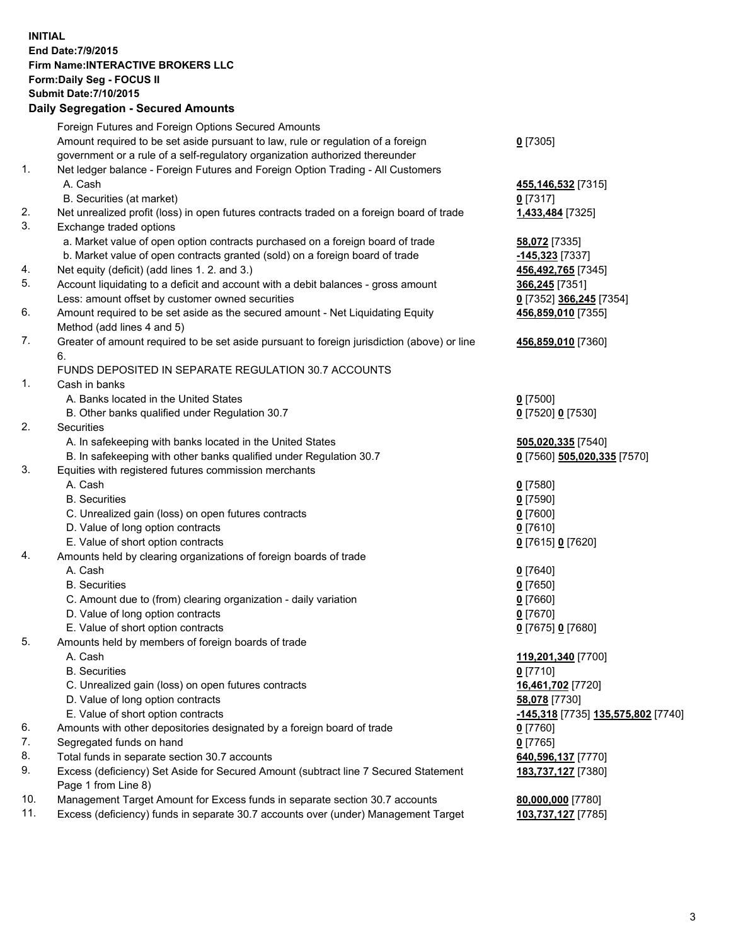## **INITIAL End Date:7/9/2015 Firm Name:INTERACTIVE BROKERS LLC Form:Daily Seg - FOCUS II Submit Date:7/10/2015 Daily Segregation - Secured Amounts**

| Dany Ocgregation - Oceanea Amounts                                                          |                                                                                                                                                                                                                                                                                                                                                                                                                                                                                                                                                                                                                                                                                                                                                                                                                                                                                                                                                                                                                                                                                                                                                                                                                                                                                                                                                                                                                                                                                                                                                                                                                                                                                                                              |
|---------------------------------------------------------------------------------------------|------------------------------------------------------------------------------------------------------------------------------------------------------------------------------------------------------------------------------------------------------------------------------------------------------------------------------------------------------------------------------------------------------------------------------------------------------------------------------------------------------------------------------------------------------------------------------------------------------------------------------------------------------------------------------------------------------------------------------------------------------------------------------------------------------------------------------------------------------------------------------------------------------------------------------------------------------------------------------------------------------------------------------------------------------------------------------------------------------------------------------------------------------------------------------------------------------------------------------------------------------------------------------------------------------------------------------------------------------------------------------------------------------------------------------------------------------------------------------------------------------------------------------------------------------------------------------------------------------------------------------------------------------------------------------------------------------------------------------|
| Foreign Futures and Foreign Options Secured Amounts                                         |                                                                                                                                                                                                                                                                                                                                                                                                                                                                                                                                                                                                                                                                                                                                                                                                                                                                                                                                                                                                                                                                                                                                                                                                                                                                                                                                                                                                                                                                                                                                                                                                                                                                                                                              |
| Amount required to be set aside pursuant to law, rule or regulation of a foreign            | $0$ [7305]                                                                                                                                                                                                                                                                                                                                                                                                                                                                                                                                                                                                                                                                                                                                                                                                                                                                                                                                                                                                                                                                                                                                                                                                                                                                                                                                                                                                                                                                                                                                                                                                                                                                                                                   |
|                                                                                             |                                                                                                                                                                                                                                                                                                                                                                                                                                                                                                                                                                                                                                                                                                                                                                                                                                                                                                                                                                                                                                                                                                                                                                                                                                                                                                                                                                                                                                                                                                                                                                                                                                                                                                                              |
|                                                                                             |                                                                                                                                                                                                                                                                                                                                                                                                                                                                                                                                                                                                                                                                                                                                                                                                                                                                                                                                                                                                                                                                                                                                                                                                                                                                                                                                                                                                                                                                                                                                                                                                                                                                                                                              |
| A. Cash                                                                                     | 455,146,532 [7315]                                                                                                                                                                                                                                                                                                                                                                                                                                                                                                                                                                                                                                                                                                                                                                                                                                                                                                                                                                                                                                                                                                                                                                                                                                                                                                                                                                                                                                                                                                                                                                                                                                                                                                           |
| B. Securities (at market)                                                                   | $0$ [7317]                                                                                                                                                                                                                                                                                                                                                                                                                                                                                                                                                                                                                                                                                                                                                                                                                                                                                                                                                                                                                                                                                                                                                                                                                                                                                                                                                                                                                                                                                                                                                                                                                                                                                                                   |
|                                                                                             | 1,433,484 [7325]                                                                                                                                                                                                                                                                                                                                                                                                                                                                                                                                                                                                                                                                                                                                                                                                                                                                                                                                                                                                                                                                                                                                                                                                                                                                                                                                                                                                                                                                                                                                                                                                                                                                                                             |
| Exchange traded options                                                                     |                                                                                                                                                                                                                                                                                                                                                                                                                                                                                                                                                                                                                                                                                                                                                                                                                                                                                                                                                                                                                                                                                                                                                                                                                                                                                                                                                                                                                                                                                                                                                                                                                                                                                                                              |
|                                                                                             | 58,072 [7335]                                                                                                                                                                                                                                                                                                                                                                                                                                                                                                                                                                                                                                                                                                                                                                                                                                                                                                                                                                                                                                                                                                                                                                                                                                                                                                                                                                                                                                                                                                                                                                                                                                                                                                                |
|                                                                                             | -145,323 [7337]                                                                                                                                                                                                                                                                                                                                                                                                                                                                                                                                                                                                                                                                                                                                                                                                                                                                                                                                                                                                                                                                                                                                                                                                                                                                                                                                                                                                                                                                                                                                                                                                                                                                                                              |
|                                                                                             | 456,492,765 [7345]                                                                                                                                                                                                                                                                                                                                                                                                                                                                                                                                                                                                                                                                                                                                                                                                                                                                                                                                                                                                                                                                                                                                                                                                                                                                                                                                                                                                                                                                                                                                                                                                                                                                                                           |
|                                                                                             | 366,245 [7351]                                                                                                                                                                                                                                                                                                                                                                                                                                                                                                                                                                                                                                                                                                                                                                                                                                                                                                                                                                                                                                                                                                                                                                                                                                                                                                                                                                                                                                                                                                                                                                                                                                                                                                               |
| Less: amount offset by customer owned securities                                            | 0 [7352] 366,245 [7354]                                                                                                                                                                                                                                                                                                                                                                                                                                                                                                                                                                                                                                                                                                                                                                                                                                                                                                                                                                                                                                                                                                                                                                                                                                                                                                                                                                                                                                                                                                                                                                                                                                                                                                      |
|                                                                                             | 456,859,010 [7355]                                                                                                                                                                                                                                                                                                                                                                                                                                                                                                                                                                                                                                                                                                                                                                                                                                                                                                                                                                                                                                                                                                                                                                                                                                                                                                                                                                                                                                                                                                                                                                                                                                                                                                           |
|                                                                                             |                                                                                                                                                                                                                                                                                                                                                                                                                                                                                                                                                                                                                                                                                                                                                                                                                                                                                                                                                                                                                                                                                                                                                                                                                                                                                                                                                                                                                                                                                                                                                                                                                                                                                                                              |
| Greater of amount required to be set aside pursuant to foreign jurisdiction (above) or line | 456,859,010 [7360]                                                                                                                                                                                                                                                                                                                                                                                                                                                                                                                                                                                                                                                                                                                                                                                                                                                                                                                                                                                                                                                                                                                                                                                                                                                                                                                                                                                                                                                                                                                                                                                                                                                                                                           |
| 6.                                                                                          |                                                                                                                                                                                                                                                                                                                                                                                                                                                                                                                                                                                                                                                                                                                                                                                                                                                                                                                                                                                                                                                                                                                                                                                                                                                                                                                                                                                                                                                                                                                                                                                                                                                                                                                              |
| FUNDS DEPOSITED IN SEPARATE REGULATION 30.7 ACCOUNTS                                        |                                                                                                                                                                                                                                                                                                                                                                                                                                                                                                                                                                                                                                                                                                                                                                                                                                                                                                                                                                                                                                                                                                                                                                                                                                                                                                                                                                                                                                                                                                                                                                                                                                                                                                                              |
| Cash in banks                                                                               |                                                                                                                                                                                                                                                                                                                                                                                                                                                                                                                                                                                                                                                                                                                                                                                                                                                                                                                                                                                                                                                                                                                                                                                                                                                                                                                                                                                                                                                                                                                                                                                                                                                                                                                              |
| A. Banks located in the United States                                                       | $0$ [7500]                                                                                                                                                                                                                                                                                                                                                                                                                                                                                                                                                                                                                                                                                                                                                                                                                                                                                                                                                                                                                                                                                                                                                                                                                                                                                                                                                                                                                                                                                                                                                                                                                                                                                                                   |
| B. Other banks qualified under Regulation 30.7                                              | 0 [7520] 0 [7530]                                                                                                                                                                                                                                                                                                                                                                                                                                                                                                                                                                                                                                                                                                                                                                                                                                                                                                                                                                                                                                                                                                                                                                                                                                                                                                                                                                                                                                                                                                                                                                                                                                                                                                            |
| Securities                                                                                  |                                                                                                                                                                                                                                                                                                                                                                                                                                                                                                                                                                                                                                                                                                                                                                                                                                                                                                                                                                                                                                                                                                                                                                                                                                                                                                                                                                                                                                                                                                                                                                                                                                                                                                                              |
|                                                                                             | 505,020,335 [7540]                                                                                                                                                                                                                                                                                                                                                                                                                                                                                                                                                                                                                                                                                                                                                                                                                                                                                                                                                                                                                                                                                                                                                                                                                                                                                                                                                                                                                                                                                                                                                                                                                                                                                                           |
|                                                                                             | 0 [7560] 505,020,335 [7570]                                                                                                                                                                                                                                                                                                                                                                                                                                                                                                                                                                                                                                                                                                                                                                                                                                                                                                                                                                                                                                                                                                                                                                                                                                                                                                                                                                                                                                                                                                                                                                                                                                                                                                  |
|                                                                                             |                                                                                                                                                                                                                                                                                                                                                                                                                                                                                                                                                                                                                                                                                                                                                                                                                                                                                                                                                                                                                                                                                                                                                                                                                                                                                                                                                                                                                                                                                                                                                                                                                                                                                                                              |
|                                                                                             | $0$ [7580]                                                                                                                                                                                                                                                                                                                                                                                                                                                                                                                                                                                                                                                                                                                                                                                                                                                                                                                                                                                                                                                                                                                                                                                                                                                                                                                                                                                                                                                                                                                                                                                                                                                                                                                   |
|                                                                                             | $0$ [7590]                                                                                                                                                                                                                                                                                                                                                                                                                                                                                                                                                                                                                                                                                                                                                                                                                                                                                                                                                                                                                                                                                                                                                                                                                                                                                                                                                                                                                                                                                                                                                                                                                                                                                                                   |
| C. Unrealized gain (loss) on open futures contracts                                         | $0$ [7600]                                                                                                                                                                                                                                                                                                                                                                                                                                                                                                                                                                                                                                                                                                                                                                                                                                                                                                                                                                                                                                                                                                                                                                                                                                                                                                                                                                                                                                                                                                                                                                                                                                                                                                                   |
|                                                                                             | $0$ [7610]                                                                                                                                                                                                                                                                                                                                                                                                                                                                                                                                                                                                                                                                                                                                                                                                                                                                                                                                                                                                                                                                                                                                                                                                                                                                                                                                                                                                                                                                                                                                                                                                                                                                                                                   |
|                                                                                             | 0 [7615] 0 [7620]                                                                                                                                                                                                                                                                                                                                                                                                                                                                                                                                                                                                                                                                                                                                                                                                                                                                                                                                                                                                                                                                                                                                                                                                                                                                                                                                                                                                                                                                                                                                                                                                                                                                                                            |
|                                                                                             |                                                                                                                                                                                                                                                                                                                                                                                                                                                                                                                                                                                                                                                                                                                                                                                                                                                                                                                                                                                                                                                                                                                                                                                                                                                                                                                                                                                                                                                                                                                                                                                                                                                                                                                              |
|                                                                                             | $0$ [7640]                                                                                                                                                                                                                                                                                                                                                                                                                                                                                                                                                                                                                                                                                                                                                                                                                                                                                                                                                                                                                                                                                                                                                                                                                                                                                                                                                                                                                                                                                                                                                                                                                                                                                                                   |
|                                                                                             | $0$ [7650]                                                                                                                                                                                                                                                                                                                                                                                                                                                                                                                                                                                                                                                                                                                                                                                                                                                                                                                                                                                                                                                                                                                                                                                                                                                                                                                                                                                                                                                                                                                                                                                                                                                                                                                   |
|                                                                                             | $0$ [7660]                                                                                                                                                                                                                                                                                                                                                                                                                                                                                                                                                                                                                                                                                                                                                                                                                                                                                                                                                                                                                                                                                                                                                                                                                                                                                                                                                                                                                                                                                                                                                                                                                                                                                                                   |
|                                                                                             | $0$ [7670]                                                                                                                                                                                                                                                                                                                                                                                                                                                                                                                                                                                                                                                                                                                                                                                                                                                                                                                                                                                                                                                                                                                                                                                                                                                                                                                                                                                                                                                                                                                                                                                                                                                                                                                   |
|                                                                                             | 0 [7675] 0 [7680]                                                                                                                                                                                                                                                                                                                                                                                                                                                                                                                                                                                                                                                                                                                                                                                                                                                                                                                                                                                                                                                                                                                                                                                                                                                                                                                                                                                                                                                                                                                                                                                                                                                                                                            |
|                                                                                             |                                                                                                                                                                                                                                                                                                                                                                                                                                                                                                                                                                                                                                                                                                                                                                                                                                                                                                                                                                                                                                                                                                                                                                                                                                                                                                                                                                                                                                                                                                                                                                                                                                                                                                                              |
|                                                                                             | 119,201,340 [7700]                                                                                                                                                                                                                                                                                                                                                                                                                                                                                                                                                                                                                                                                                                                                                                                                                                                                                                                                                                                                                                                                                                                                                                                                                                                                                                                                                                                                                                                                                                                                                                                                                                                                                                           |
|                                                                                             | $0$ [7710]                                                                                                                                                                                                                                                                                                                                                                                                                                                                                                                                                                                                                                                                                                                                                                                                                                                                                                                                                                                                                                                                                                                                                                                                                                                                                                                                                                                                                                                                                                                                                                                                                                                                                                                   |
|                                                                                             | 16,461,702 [7720]                                                                                                                                                                                                                                                                                                                                                                                                                                                                                                                                                                                                                                                                                                                                                                                                                                                                                                                                                                                                                                                                                                                                                                                                                                                                                                                                                                                                                                                                                                                                                                                                                                                                                                            |
|                                                                                             | 58,078 [7730]                                                                                                                                                                                                                                                                                                                                                                                                                                                                                                                                                                                                                                                                                                                                                                                                                                                                                                                                                                                                                                                                                                                                                                                                                                                                                                                                                                                                                                                                                                                                                                                                                                                                                                                |
|                                                                                             | -145,318 [7735] 135,575,802 [7740]                                                                                                                                                                                                                                                                                                                                                                                                                                                                                                                                                                                                                                                                                                                                                                                                                                                                                                                                                                                                                                                                                                                                                                                                                                                                                                                                                                                                                                                                                                                                                                                                                                                                                           |
|                                                                                             | 0 [7760]                                                                                                                                                                                                                                                                                                                                                                                                                                                                                                                                                                                                                                                                                                                                                                                                                                                                                                                                                                                                                                                                                                                                                                                                                                                                                                                                                                                                                                                                                                                                                                                                                                                                                                                     |
|                                                                                             | $0$ [7765]                                                                                                                                                                                                                                                                                                                                                                                                                                                                                                                                                                                                                                                                                                                                                                                                                                                                                                                                                                                                                                                                                                                                                                                                                                                                                                                                                                                                                                                                                                                                                                                                                                                                                                                   |
|                                                                                             | 640,596,137 [7770]                                                                                                                                                                                                                                                                                                                                                                                                                                                                                                                                                                                                                                                                                                                                                                                                                                                                                                                                                                                                                                                                                                                                                                                                                                                                                                                                                                                                                                                                                                                                                                                                                                                                                                           |
| Page 1 from Line 8)                                                                         | 183,737,127 [7380]                                                                                                                                                                                                                                                                                                                                                                                                                                                                                                                                                                                                                                                                                                                                                                                                                                                                                                                                                                                                                                                                                                                                                                                                                                                                                                                                                                                                                                                                                                                                                                                                                                                                                                           |
| Management Target Amount for Excess funds in separate section 30.7 accounts                 | 80,000,000 [7780]                                                                                                                                                                                                                                                                                                                                                                                                                                                                                                                                                                                                                                                                                                                                                                                                                                                                                                                                                                                                                                                                                                                                                                                                                                                                                                                                                                                                                                                                                                                                                                                                                                                                                                            |
| Excess (deficiency) funds in separate 30.7 accounts over (under) Management Target          | 103,737,127 [7785]                                                                                                                                                                                                                                                                                                                                                                                                                                                                                                                                                                                                                                                                                                                                                                                                                                                                                                                                                                                                                                                                                                                                                                                                                                                                                                                                                                                                                                                                                                                                                                                                                                                                                                           |
|                                                                                             | government or a rule of a self-regulatory organization authorized thereunder<br>Net ledger balance - Foreign Futures and Foreign Option Trading - All Customers<br>Net unrealized profit (loss) in open futures contracts traded on a foreign board of trade<br>a. Market value of open option contracts purchased on a foreign board of trade<br>b. Market value of open contracts granted (sold) on a foreign board of trade<br>Net equity (deficit) (add lines 1.2. and 3.)<br>Account liquidating to a deficit and account with a debit balances - gross amount<br>Amount required to be set aside as the secured amount - Net Liquidating Equity<br>Method (add lines 4 and 5)<br>A. In safekeeping with banks located in the United States<br>B. In safekeeping with other banks qualified under Regulation 30.7<br>Equities with registered futures commission merchants<br>A. Cash<br><b>B.</b> Securities<br>D. Value of long option contracts<br>E. Value of short option contracts<br>Amounts held by clearing organizations of foreign boards of trade<br>A. Cash<br><b>B.</b> Securities<br>C. Amount due to (from) clearing organization - daily variation<br>D. Value of long option contracts<br>E. Value of short option contracts<br>Amounts held by members of foreign boards of trade<br>A. Cash<br><b>B.</b> Securities<br>C. Unrealized gain (loss) on open futures contracts<br>D. Value of long option contracts<br>E. Value of short option contracts<br>Amounts with other depositories designated by a foreign board of trade<br>Segregated funds on hand<br>Total funds in separate section 30.7 accounts<br>Excess (deficiency) Set Aside for Secured Amount (subtract line 7 Secured Statement |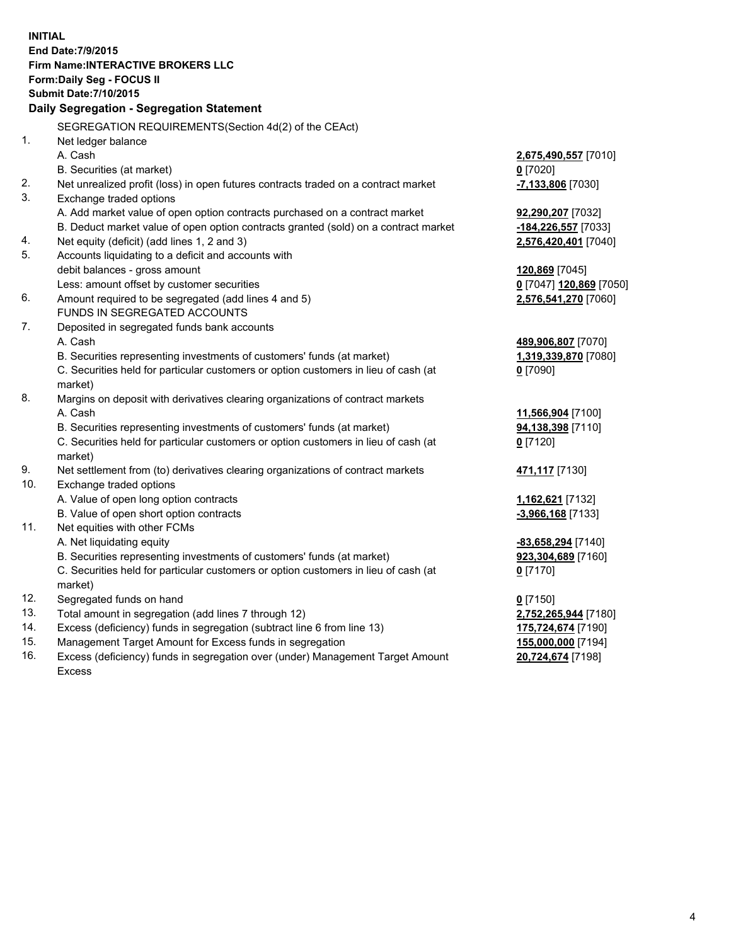**INITIAL End Date:7/9/2015 Firm Name:INTERACTIVE BROKERS LLC Form:Daily Seg - FOCUS II Submit Date:7/10/2015 Daily Segregation - Segregation Statement** SEGREGATION REQUIREMENTS(Section 4d(2) of the CEAct) 1. Net ledger balance A. Cash **2,675,490,557** [7010] B. Securities (at market) **0** [7020] 2. Net unrealized profit (loss) in open futures contracts traded on a contract market **-7,133,806** [7030] 3. Exchange traded options A. Add market value of open option contracts purchased on a contract market **92,290,207** [7032] B. Deduct market value of open option contracts granted (sold) on a contract market **-184,226,557** [7033] 4. Net equity (deficit) (add lines 1, 2 and 3) **2,576,420,401** [7040] 5. Accounts liquidating to a deficit and accounts with debit balances - gross amount **120,869** [7045] Less: amount offset by customer securities **0** [7047] **120,869** [7050] 6. Amount required to be segregated (add lines 4 and 5) **2,576,541,270** [7060] FUNDS IN SEGREGATED ACCOUNTS 7. Deposited in segregated funds bank accounts A. Cash **489,906,807** [7070] B. Securities representing investments of customers' funds (at market) **1,319,339,870** [7080] C. Securities held for particular customers or option customers in lieu of cash (at market) **0** [7090] 8. Margins on deposit with derivatives clearing organizations of contract markets A. Cash **11,566,904** [7100] B. Securities representing investments of customers' funds (at market) **94,138,398** [7110] C. Securities held for particular customers or option customers in lieu of cash (at market) **0** [7120] 9. Net settlement from (to) derivatives clearing organizations of contract markets **471,117** [7130] 10. Exchange traded options A. Value of open long option contracts **1,162,621** [7132] B. Value of open short option contracts **-3,966,168** [7133] 11. Net equities with other FCMs A. Net liquidating equity **-83,658,294** [7140] B. Securities representing investments of customers' funds (at market) **923,304,689** [7160] C. Securities held for particular customers or option customers in lieu of cash (at market) **0** [7170] 12. Segregated funds on hand **0** [7150] 13. Total amount in segregation (add lines 7 through 12) **2,752,265,944** [7180] 14. Excess (deficiency) funds in segregation (subtract line 6 from line 13) **175,724,674** [7190] 15. Management Target Amount for Excess funds in segregation **155,000,000** [7194]

16. Excess (deficiency) funds in segregation over (under) Management Target Amount Excess

**20,724,674** [7198]